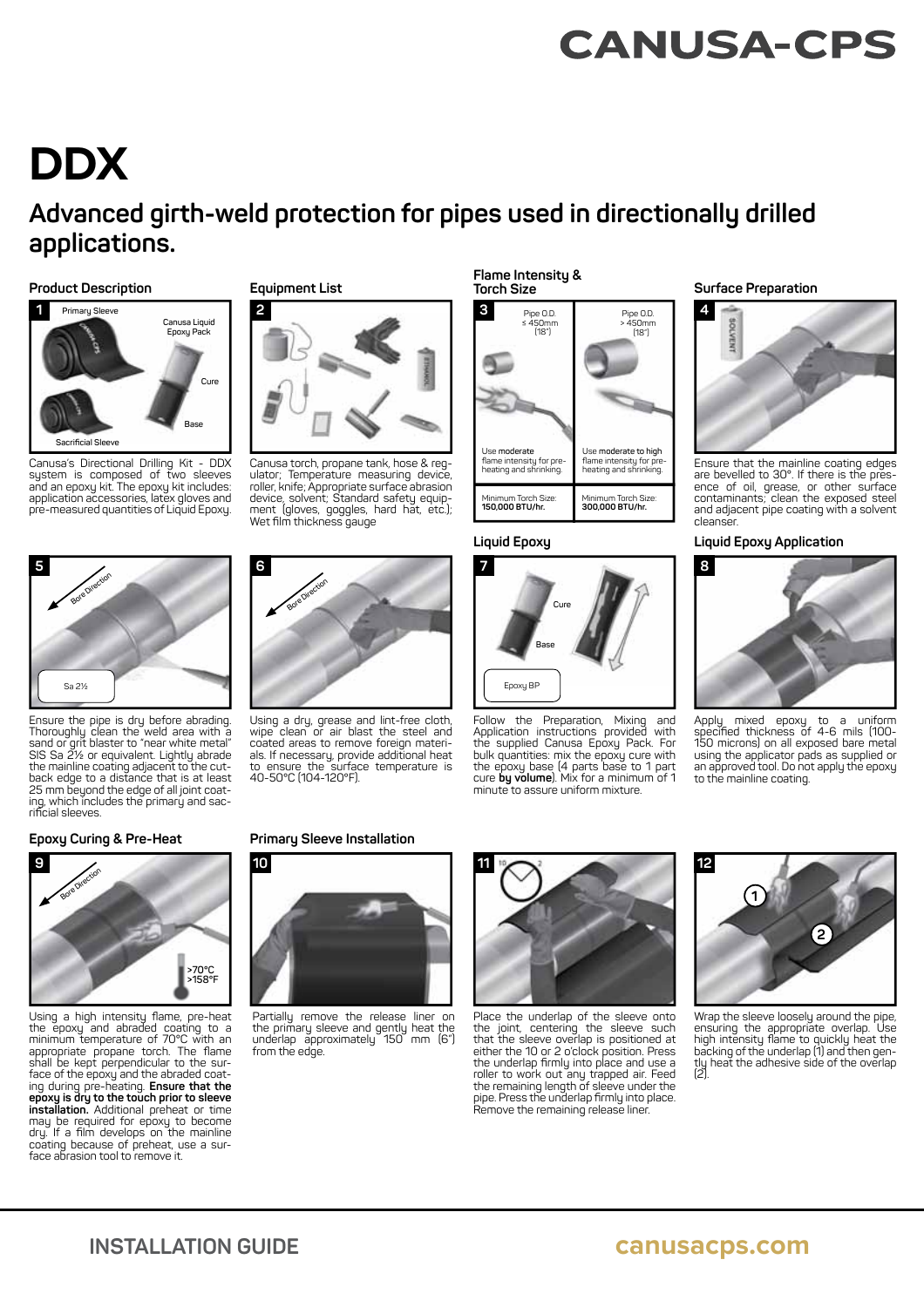# **CANUSA-CPS**

# **DDX**

## **Advanced girth-weld protection for pipes used in directionally drilled applications.**

#### **Product Description Surface Preparation Surface Preparation Surface Preparation**



Canusa's Directional Drilling Kit - DDX system is composed of two sleeves and an epoxy kit. The epoxy kit includes: application accessories, latex gloves and pre-measured quantities of Liquid Epoxy.



Ensure the pipe is dry before abrading.<br>Thoroughly clean the weld area with a<br>sand or grit blaster to "near white metal"<br>SIS Sa 2½ or equivalent. Lightly abrade<br>the mainline coating adjacent to the cutback edge to a distance that is at least 25 mm beyond the edge of all joint coat-ing, which includes the primary and sac-rifi cial sleeves.

**9**

#### **Equipment List**



Canusa torch, propane tank, hose & regulator; Temperature measuring device, roller, knife; Appropriate surface abrasion device, solvent; Standard safety equip-<br>ment (gloves, goggles, hard hat, etc.);<br>Wet film thickness gauge



coated areas to remove foreign materi-als. If necessary, provide additional heat to ensure the surface temperature is 40-50°C (104-120°F).



Partially remove the release liner on the primary sleeve and gently heat the underlap approximately 150 mm (6") from the edge.



Epoxy BP

Minimum Torch Size: **150,000 BTU/hr.** 

Use **moderate** flame intensity for pre-<br>heating and shrinking.

**7**

**Flame Intensity & Torch Size**

**3**

Pipe O.D. ≤ 450mm (18")

**Cure**

Follow the Preparation, Mixing and Application instructions provided with the supplied Canusa Epoxy Pack. For bulk quantities: mix the epoxy cure with the epoxy base (4 parts base to 1 part cure **by volume**). Mix for a minimum of 1 minute to assure uniform mixture.

Minimum Torch Size: **300,000 BTU/hr.** 

Use **moderate to high** flame intensity for pre-<br>heating and shrinking.

Pipe O.D. > 450mm (18")

**Base**

Place the underlap of the sleeve onto the joint, centering the sleeve such that the sleeve overlap is positioned at<br>either the 10 or 2 o'clock position. Press<br>the underlap firmly into place and use a roller to work out any trapped air. Feed the remaining length of sleeve under the pipe. Press the underlap fi rmly into place. Remove the remaining release liner.





Ensure that the mainline coating edges are bevelled to 30°. If there is the presence of oil, grease, or other surface contaminants; clean the exposed steel and adjacent pipe coating with a solvent cleanser.

#### **Liquid Epoxy Liquid Epoxy Application**



Apply mixed epoxy to a uniform<br>specified-thickness-of-4-6-mils-(100-150 microns) on all exposed bare metal using the applicator pads as supplied or an approved tool. Do not apply the epoxy to the mainline coating.

# **12 1 2**

Wrap the sleeve loosely around the pipe, ensuring the appropriate overlap. Use high intensity fl ame to quickly heat the backing of the underlap (1) and then gen-tly heat the adhesive side of the overlap (2).

**10 Epoxy Curing & Pre-Heat** Primary Sleeve Installation



Using a high intensity flame, pre-heat<br>the epoxy and abraded coating to a<br>minimum temperature of 70°C with an<br>appropriate propane torch. The flame<br>shall be kept perpendicular to the surface of the epoxy and the abraded coat-<br>ing during pre-heating. **Ensure that the**<br>**epoxy is dry to the touch prior to sleeve**<br>installation. Additional preheat or time<br>may be required for epoxy to become<br>dry. If a film deve coating because of preheat, use a surface abrasion tool to remove it.